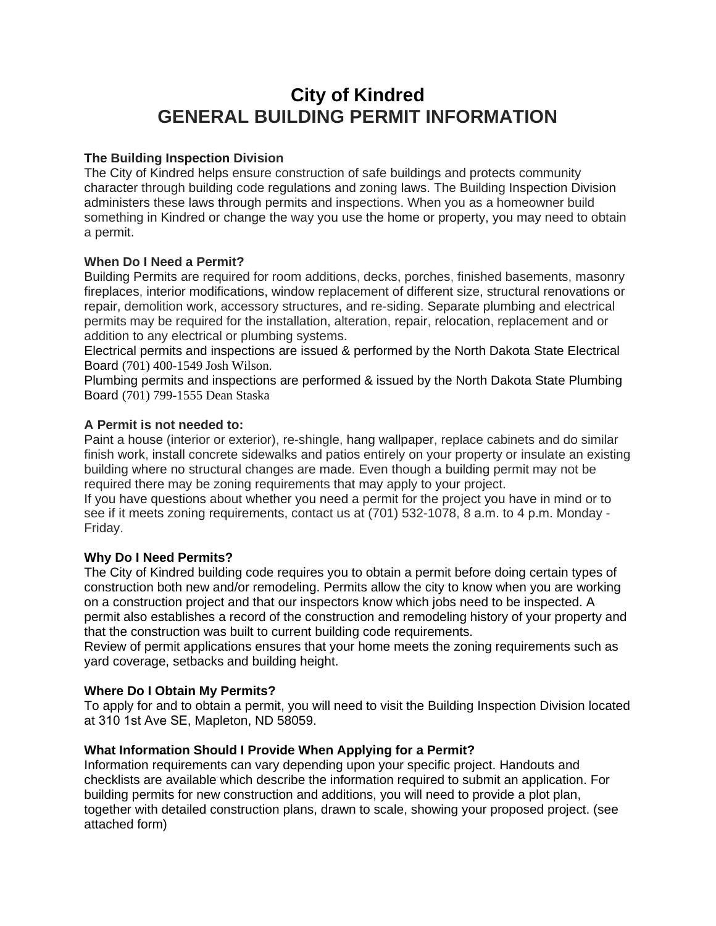# **City of Kindred GENERAL BUILDING PERMIT INFORMATION**

## **The Building Inspection Division**

The City of Kindred helps ensure construction of safe buildings and protects community character through building code regulations and zoning laws. The Building Inspection Division administers these laws through permits and inspections. When you as a homeowner build something in Kindred or change the way you use the home or property, you may need to obtain a permit.

## **When Do I Need a Permit?**

Building Permits are required for room additions, decks, porches, finished basements, masonry fireplaces, interior modifications, window replacement of different size, structural renovations or repair, demolition work, accessory structures, and re-siding. Separate plumbing and electrical permits may be required for the installation, alteration, repair, relocation, replacement and or addition to any electrical or plumbing systems.

Electrical permits and inspections are issued & performed by the North Dakota State Electrical Board (701) 400-1549 Josh Wilson.

Plumbing permits and inspections are performed & issued by the North Dakota State Plumbing Board (701) 799-1555 Dean Staska

### **A Permit is not needed to:**

Paint a house (interior or exterior), re-shingle, hang wallpaper, replace cabinets and do similar finish work, install concrete sidewalks and patios entirely on your property or insulate an existing building where no structural changes are made. Even though a building permit may not be required there may be zoning requirements that may apply to your project.

If you have questions about whether you need a permit for the project you have in mind or to see if it meets zoning requirements, contact us at (701) 532-1078, 8 a.m. to 4 p.m. Monday - Friday.

### **Why Do I Need Permits?**

The City of Kindred building code requires you to obtain a permit before doing certain types of construction both new and/or remodeling. Permits allow the city to know when you are working on a construction project and that our inspectors know which jobs need to be inspected. A permit also establishes a record of the construction and remodeling history of your property and that the construction was built to current building code requirements.

Review of permit applications ensures that your home meets the zoning requirements such as yard coverage, setbacks and building height.

### **Where Do I Obtain My Permits?**

To apply for and to obtain a permit, you will need to visit the Building Inspection Division located at 310 1st Ave SE, Mapleton, ND 58059.

### **What Information Should I Provide When Applying for a Permit?**

Information requirements can vary depending upon your specific project. Handouts and checklists are available which describe the information required to submit an application. For building permits for new construction and additions, you will need to provide a plot plan, together with detailed construction plans, drawn to scale, showing your proposed project. (see attached form)